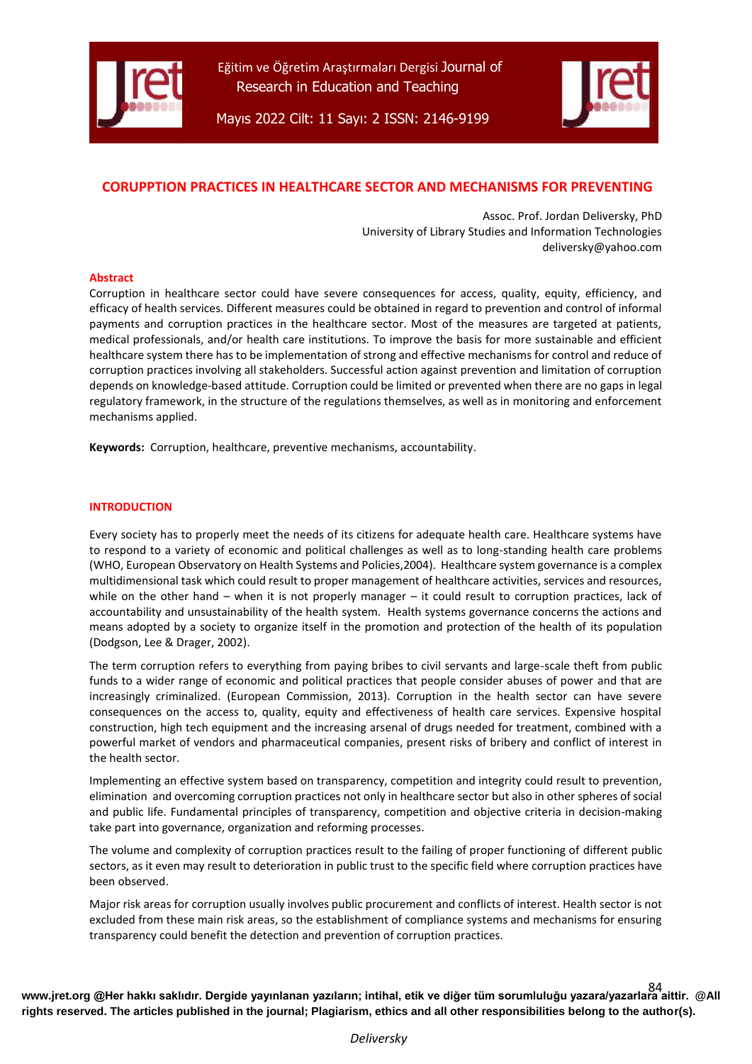



Mayıs 2022 Cilt: 11 Sayı: 2 ISSN: 2146-9199

# **CORUPPTION PRACTICES IN HEALTHCARE SECTOR AND MECHANISMS FOR PREVENTING**

Assoc. Prof. Jordan Deliversky, PhD University of Library Studies and Information Technologies deliversky@yahoo.com

### **Abstract**

Corruption in healthcare sector could have severe consequences for access, quality, equity, efficiency, and efficacy of health services. Different measures could be obtained in regard to prevention and control of informal payments and corruption practices in the healthcare sector. Most of the measures are targeted at patients, medical professionals, and/or health care institutions. To improve the basis for more sustainable and efficient healthcare system there has to be implementation of strong and effective mechanisms for control and reduce of corruption practices involving all stakeholders. Successful action against prevention and limitation of corruption depends on knowledge-based attitude. Corruption could be limited or prevented when there are no gaps in legal regulatory framework, in the structure of the regulations themselves, as well as in monitoring and enforcement mechanisms applied.

**Keywords:** Corruption, healthcare, preventive mechanisms, accountability.

### **INTRODUCTION**

Every society has to properly meet the needs of its citizens for adequate health care. Healthcare systems have to respond to a variety of economic and political challenges as well as to long-standing health care problems (WHO, European Observatory on Health Systems and Policies,2004). Healthcare system governance is a complex multidimensional task which could result to proper management of healthcare activities, services and resources, while on the other hand – when it is not properly manager – it could result to corruption practices, lack of accountability and unsustainability of the health system. Health systems governance concerns the actions and means adopted by a society to organize itself in the promotion and protection of the health of its population (Dodgson, Lee & Drager, 2002).

The term corruption refers to everything from paying bribes to civil servants and large-scale theft from public funds to a wider range of economic and political practices that people consider abuses of power and that are increasingly criminalized. (European Commission, 2013). Corruption in the health sector can have severe consequences on the access to, quality, equity and effectiveness of health care services. Expensive hospital construction, high tech equipment and the increasing arsenal of drugs needed for treatment, combined with a powerful market of vendors and pharmaceutical companies, present risks of bribery and conflict of interest in the health sector.

Implementing an effective system based on transparency, competition and integrity could result to prevention, elimination and overcoming corruption practices not only in healthcare sector but also in other spheres of social and public life. Fundamental principles of transparency, competition and objective criteria in decision-making take part into governance, organization and reforming processes.

The volume and complexity of corruption practices result to the failing of proper functioning of different public sectors, as it even may result to deterioration in public trust to the specific field where corruption practices have been observed.

Major risk areas for corruption usually involves public procurement and conflicts of interest. Health sector is not excluded from these main risk areas, so the establishment of compliance systems and mechanisms for ensuring transparency could benefit the detection and prevention of corruption practices.

**[www.jret.org @](http://www.jret.org/)Her hakkı saklıdır. Dergide yayınlanan yazıların; intihal, etik ve diğer tüm sorumluluğu yazara/yazarlara aittir. @All**  84 **rights reserved. The articles published in the journal; Plagiarism, ethics and all other responsibilities belong to the author(s).**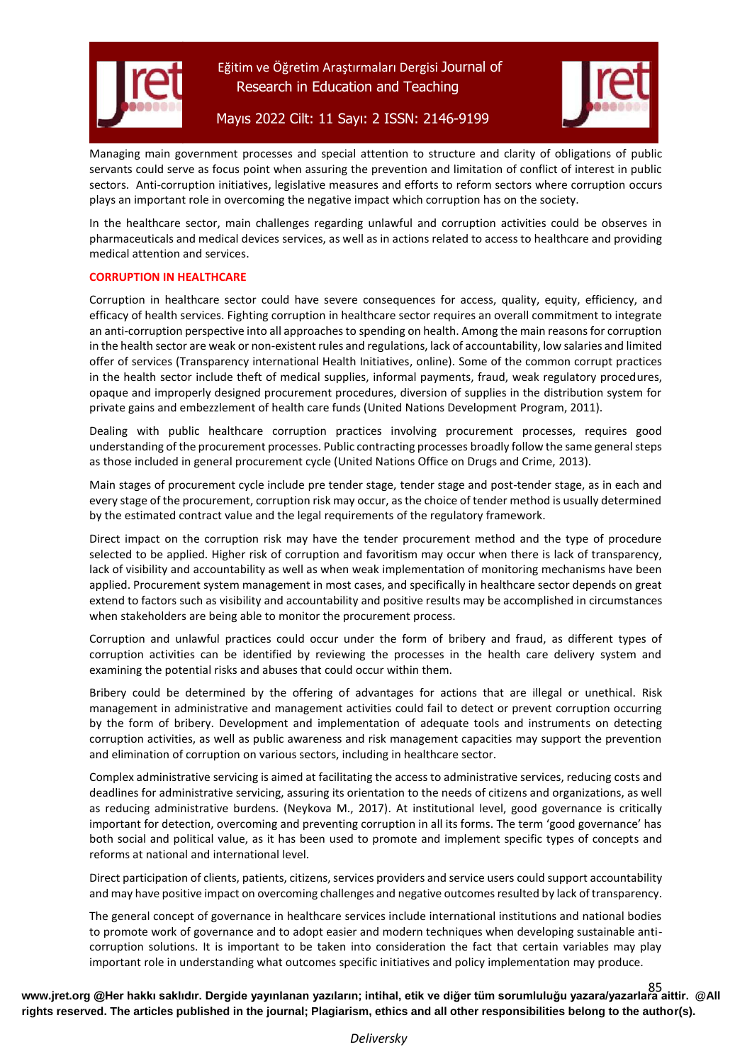



Mayıs 2022 Cilt: 11 Sayı: 2 ISSN: 2146-9199

Managing main government processes and special attention to structure and clarity of obligations of public servants could serve as focus point when assuring the prevention and limitation of conflict of interest in public sectors. Anti-corruption initiatives, legislative measures and efforts to reform sectors where corruption occurs plays an important role in overcoming the negative impact which corruption has on the society.

In the healthcare sector, main challenges regarding unlawful and corruption activities could be observes in pharmaceuticals and medical devices services, as well as in actions related to access to healthcare and providing medical attention and services.

# **CORRUPTION IN HEALTHCARE**

Corruption in healthcare sector could have severe consequences for access, quality, equity, efficiency, and efficacy of health services. Fighting corruption in healthcare sector requires an overall commitment to integrate an anti-corruption perspective into all approaches to spending on health. Among the main reasons for corruption in the health sector are weak or non-existent rules and regulations, lack of accountability, low salaries and limited offer of services (Transparency international Health Initiatives, online). Some of the common corrupt practices in the health sector include theft of medical supplies, informal payments, fraud, weak regulatory procedures, opaque and improperly designed procurement procedures, diversion of supplies in the distribution system for private gains and embezzlement of health care funds (United Nations Development Program, 2011).

Dealing with public healthcare corruption practices involving procurement processes, requires good understanding of the procurement processes. Public contracting processes broadly follow the same general steps as those included in general procurement cycle (United Nations Office on Drugs and Crime, 2013).

Main stages of procurement cycle include pre tender stage, tender stage and post-tender stage, as in each and every stage of the procurement, corruption risk may occur, as the choice of tender method is usually determined by the estimated contract value and the legal requirements of the regulatory framework.

Direct impact on the corruption risk may have the tender procurement method and the type of procedure selected to be applied. Higher risk of corruption and favoritism may occur when there is lack of transparency, lack of visibility and accountability as well as when weak implementation of monitoring mechanisms have been applied. Procurement system management in most cases, and specifically in healthcare sector depends on great extend to factors such as visibility and accountability and positive results may be accomplished in circumstances when stakeholders are being able to monitor the procurement process.

Corruption and unlawful practices could occur under the form of bribery and fraud, as different types of corruption activities can be identified by reviewing the processes in the health care delivery system and examining the potential risks and abuses that could occur within them.

Bribery could be determined by the offering of advantages for actions that are illegal or unethical. Risk management in administrative and management activities could fail to detect or prevent corruption occurring by the form of bribery. Development and implementation of adequate tools and instruments on detecting corruption activities, as well as public awareness and risk management capacities may support the prevention and elimination of corruption on various sectors, including in healthcare sector.

Complex administrative servicing is aimed at facilitating the access to administrative services, reducing costs and deadlines for administrative servicing, assuring its orientation to the needs of citizens and organizations, as well as reducing administrative burdens. (Neykova M., 2017). At institutional level, good governance is critically important for detection, overcoming and preventing corruption in all its forms. The term 'good governance' has both social and political value, as it has been used to promote and implement specific types of concepts and reforms at national and international level.

Direct participation of clients, patients, citizens, services providers and service users could support accountability and may have positive impact on overcoming challenges and negative outcomes resulted by lack of transparency.

The general concept of governance in healthcare services include international institutions and national bodies to promote work of governance and to adopt easier and modern techniques when developing sustainable anticorruption solutions. It is important to be taken into consideration the fact that certain variables may play important role in understanding what outcomes specific initiatives and policy implementation may produce.

**[www.jret.org @](http://www.jret.org/)Her hakkı saklıdır. Dergide yayınlanan yazıların; intihal, etik ve diğer tüm sorumluluğu yazara/yazarlara aittir. @All**  85 **rights reserved. The articles published in the journal; Plagiarism, ethics and all other responsibilities belong to the author(s).**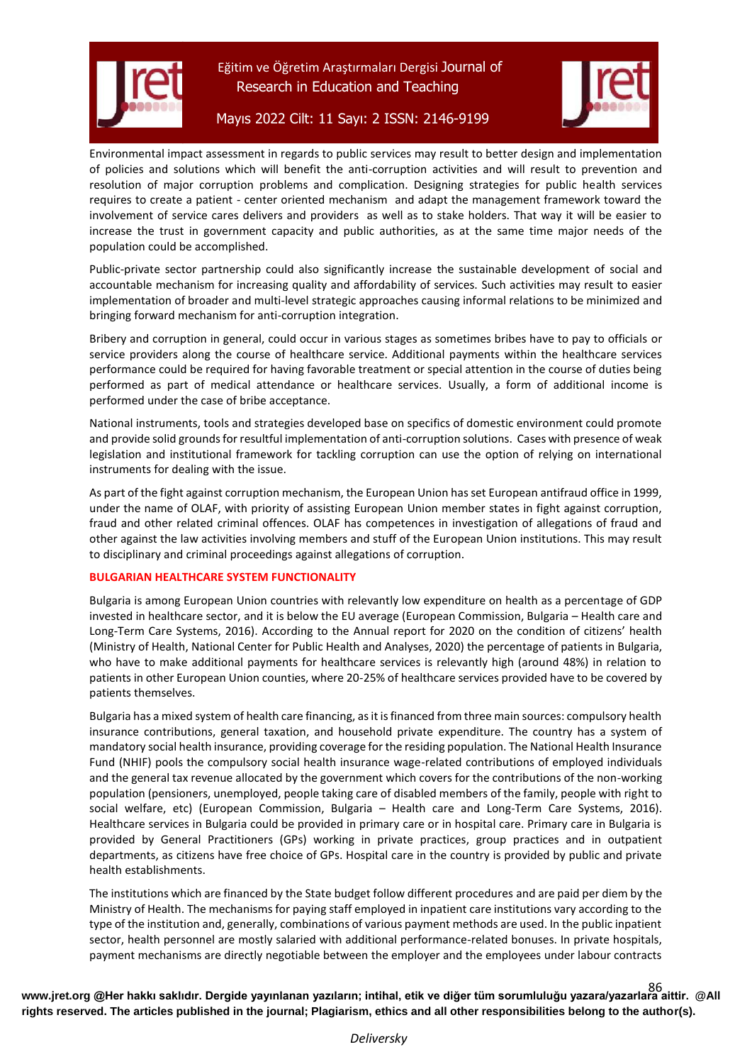

# Mayıs 2022 Cilt: 11 Sayı: 2 ISSN: 2146-9199

Environmental impact assessment in regards to public services may result to better design and implementation of policies and solutions which will benefit the anti-corruption activities and will result to prevention and resolution of major corruption problems and complication. Designing strategies for public health services requires to create a patient - center oriented mechanism and adapt the management framework toward the involvement of service cares delivers and providers as well as to stake holders. That way it will be easier to increase the trust in government capacity and public authorities, as at the same time major needs of the population could be accomplished.

Public-private sector partnership could also significantly increase the sustainable development of social and accountable mechanism for increasing quality and affordability of services. Such activities may result to easier implementation of broader and multi-level strategic approaches causing informal relations to be minimized and bringing forward mechanism for anti-corruption integration.

Bribery and corruption in general, could occur in various stages as sometimes bribes have to pay to officials or service providers along the course of healthcare service. Additional payments within the healthcare services performance could be required for having favorable treatment or special attention in the course of duties being performed as part of medical attendance or healthcare services. Usually, a form of additional income is performed under the case of bribe acceptance.

National instruments, tools and strategies developed base on specifics of domestic environment could promote and provide solid grounds for resultful implementation of anti-corruption solutions. Cases with presence of weak legislation and institutional framework for tackling corruption can use the option of relying on international instruments for dealing with the issue.

As part of the fight against corruption mechanism, the European Union has set European antifraud office in 1999, under the name of OLAF, with priority of assisting European Union member states in fight against corruption, fraud and other related criminal offences. OLAF has competences in investigation of allegations of fraud and other against the law activities involving members and stuff of the European Union institutions. This may result to disciplinary and criminal proceedings against allegations of corruption.

# **BULGARIAN HEALTHCARE SYSTEM FUNCTIONALITY**

Bulgaria is among European Union countries with relevantly low expenditure on health as a percentage of GDP invested in healthcare sector, and it is below the EU average (European Commission, Bulgaria – Health care and Long-Term Care Systems, 2016). According to the Annual report for 2020 on the condition of citizens' health (Ministry of Health, National Center for Public Health and Analyses, 2020) the percentage of patients in Bulgaria, who have to make additional payments for healthcare services is relevantly high (around 48%) in relation to patients in other European Union counties, where 20-25% of healthcare services provided have to be covered by patients themselves.

Bulgaria has a mixed system of health care financing, as it is financed from three main sources: compulsory health insurance contributions, general taxation, and household private expenditure. The country has a system of mandatory social health insurance, providing coverage for the residing population. The National Health Insurance Fund (NHIF) pools the compulsory social health insurance wage-related contributions of employed individuals and the general tax revenue allocated by the government which covers for the contributions of the non-working population (pensioners, unemployed, people taking care of disabled members of the family, people with right to social welfare, etc) (European Commission, Bulgaria – Health care and Long-Term Care Systems, 2016). Healthcare services in Bulgaria could be provided in primary care or in hospital care. Primary care in Bulgaria is provided by General Practitioners (GPs) working in private practices, group practices and in outpatient departments, as citizens have free choice of GPs. Hospital care in the country is provided by public and private health establishments.

The institutions which are financed by the State budget follow different procedures and are paid per diem by the Ministry of Health. The mechanisms for paying staff employed in inpatient care institutions vary according to the type of the institution and, generally, combinations of various payment methods are used. In the public inpatient sector, health personnel are mostly salaried with additional performance-related bonuses. In private hospitals, payment mechanisms are directly negotiable between the employer and the employees under labour contracts

**[www.jret.org @](http://www.jret.org/)Her hakkı saklıdır. Dergide yayınlanan yazıların; intihal, etik ve diğer tüm sorumluluğu yazara/yazarlara aittir. @All**  86 **rights reserved. The articles published in the journal; Plagiarism, ethics and all other responsibilities belong to the author(s).**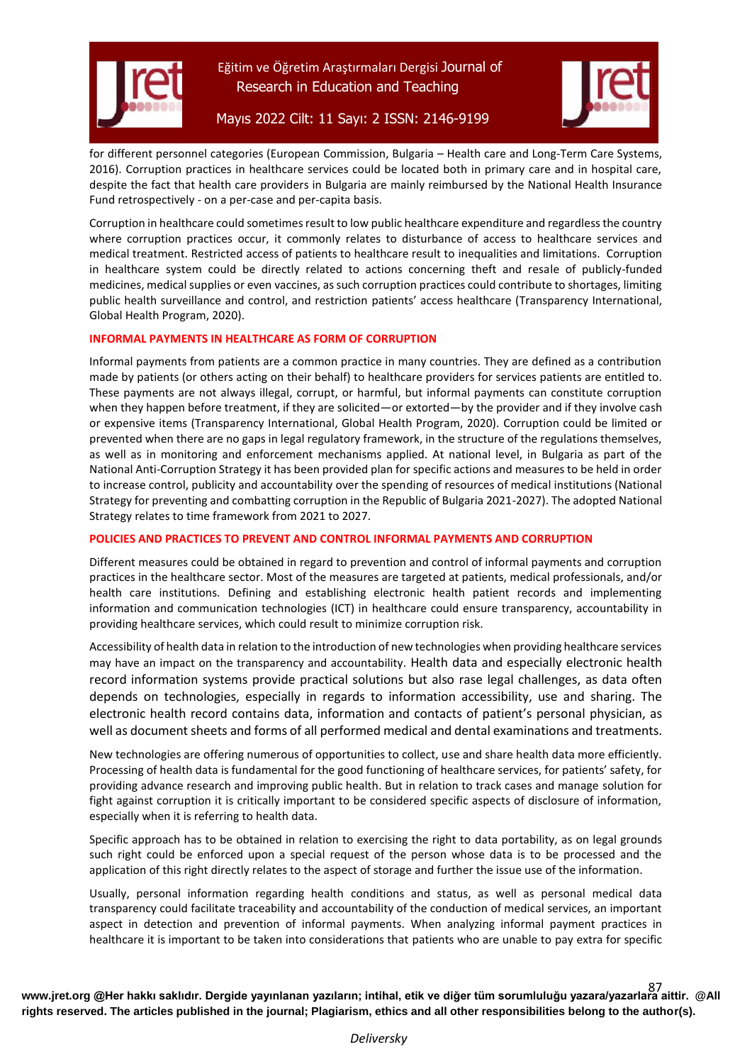



# Mayıs 2022 Cilt: 11 Sayı: 2 ISSN: 2146-9199

for different personnel categories (European Commission, Bulgaria – Health care and Long-Term Care Systems, 2016). Corruption practices in healthcare services could be located both in primary care and in hospital care, despite the fact that health care providers in Bulgaria are mainly reimbursed by the National Health Insurance Fund retrospectively - on a per-case and per-capita basis.

Corruption in healthcare could sometimes result to low public healthcare expenditure and regardless the country where corruption practices occur, it commonly relates to disturbance of access to healthcare services and medical treatment. Restricted access of patients to healthcare result to inequalities and limitations. Corruption in healthcare system could be directly related to actions concerning theft and resale of publicly-funded medicines, medical supplies or even vaccines, as such corruption practices could contribute to shortages, limiting public health surveillance and control, and restriction patients' access healthcare (Transparency International, Global Health Program, 2020).

### **INFORMAL PAYMENTS IN HEALTHCARE AS FORM OF CORRUPTION**

Informal payments from patients are a common practice in many countries. They are defined as a contribution made by patients (or others acting on their behalf) to healthcare providers for services patients are entitled to. These payments are not always illegal, corrupt, or harmful, but informal payments can constitute corruption when they happen before treatment, if they are solicited—or extorted—by the provider and if they involve cash or expensive items (Transparency International, Global Health Program, 2020). Corruption could be limited or prevented when there are no gaps in legal regulatory framework, in the structure of the regulations themselves, as well as in monitoring and enforcement mechanisms applied. At national level, in Bulgaria as part of the National Anti-Corruption Strategy it has been provided plan for specific actions and measures to be held in order to increase control, publicity and accountability over the spending of resources of medical institutions (National Strategy for preventing and combatting corruption in the Republic of Bulgaria 2021-2027). The adopted National Strategy relates to time framework from 2021 to 2027.

## **POLICIES AND PRACTICES TO PREVENT AND CONTROL INFORMAL PAYMENTS AND CORRUPTION**

Different measures could be obtained in regard to prevention and control of informal payments and corruption practices in the healthcare sector. Most of the measures are targeted at patients, medical professionals, and/or health care institutions. Defining and establishing electronic health patient records and implementing information and communication technologies (ICT) in healthcare could ensure transparency, accountability in providing healthcare services, which could result to minimize corruption risk.

Accessibility of health data in relation to the introduction of new technologies when providing healthcare services may have an impact on the transparency and accountability. Health data and especially electronic health record information systems provide practical solutions but also rase legal challenges, as data often depends on technologies, especially in regards to information accessibility, use and sharing. The electronic health record contains data, information and contacts of patient's personal physician, as well as document sheets and forms of all performed medical and dental examinations and treatments.

New technologies are offering numerous of opportunities to collect, use and share health data more efficiently. Processing of health data is fundamental for the good functioning of healthcare services, for patients' safety, for providing advance research and improving public health. But in relation to track cases and manage solution for fight against corruption it is critically important to be considered specific aspects of disclosure of information, especially when it is referring to health data.

Specific approach has to be obtained in relation to exercising the right to data portability, as on legal grounds such right could be enforced upon a special request of the person whose data is to be processed and the application of this right directly relates to the aspect of storage and further the issue use of the information.

Usually, personal information regarding health conditions and status, as well as personal medical data transparency could facilitate traceability and accountability of the conduction of medical services, an important aspect in detection and prevention of informal payments. When analyzing informal payment practices in healthcare it is important to be taken into considerations that patients who are unable to pay extra for specific

**[www.jret.org @](http://www.jret.org/)Her hakkı saklıdır. Dergide yayınlanan yazıların; intihal, etik ve diğer tüm sorumluluğu yazara/yazarlara aittir. @All**  87 **rights reserved. The articles published in the journal; Plagiarism, ethics and all other responsibilities belong to the author(s).**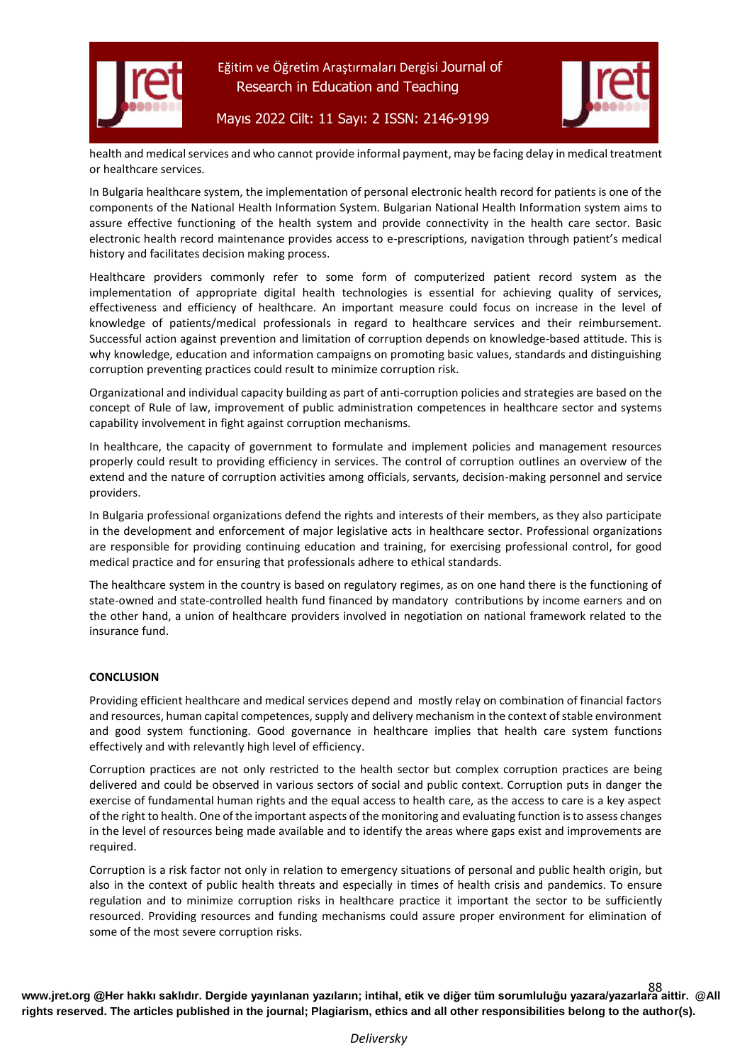



Mayıs 2022 Cilt: 11 Sayı: 2 ISSN: 2146-9199



health and medical services and who cannot provide informal payment, may be facing delay in medical treatment or healthcare services.

In Bulgaria healthcare system, the implementation of personal electronic health record for patients is one of the components of the National Health Information System. Bulgarian National Health Information system aims to assure effective functioning of the health system and provide connectivity in the health care sector. Basic electronic health record maintenance provides access to e-prescriptions, navigation through patient's medical history and facilitates decision making process.

Healthcare providers commonly refer to some form of computerized patient record system as the implementation of appropriate digital health technologies is essential for achieving quality of services, effectiveness and efficiency of healthcare. An important measure could focus on increase in the level of knowledge of patients/medical professionals in regard to healthcare services and their reimbursement. Successful action against prevention and limitation of corruption depends on knowledge-based attitude. This is why knowledge, education and information campaigns on promoting basic values, standards and distinguishing corruption preventing practices could result to minimize corruption risk.

Organizational and individual capacity building as part of anti-corruption policies and strategies are based on the concept of Rule of law, improvement of public administration competences in healthcare sector and systems capability involvement in fight against corruption mechanisms.

In healthcare, the capacity of government to formulate and implement policies and management resources properly could result to providing efficiency in services. The control of corruption outlines an overview of the extend and the nature of corruption activities among officials, servants, decision-making personnel and service providers.

In Bulgaria professional organizations defend the rights and interests of their members, as they also participate in the development and enforcement of major legislative acts in healthcare sector. Professional organizations are responsible for providing continuing education and training, for exercising professional control, for good medical practice and for ensuring that professionals adhere to ethical standards.

The healthcare system in the country is based on regulatory regimes, as on one hand there is the functioning of state-owned and state-controlled health fund financed by mandatory contributions by income earners and on the other hand, a union of healthcare providers involved in negotiation on national framework related to the insurance fund.

# **CONCLUSION**

Providing efficient healthcare and medical services depend and mostly relay on combination of financial factors and resources, human capital competences, supply and delivery mechanism in the context of stable environment and good system functioning. Good governance in healthcare implies that health care system functions effectively and with relevantly high level of efficiency.

Corruption practices are not only restricted to the health sector but complex corruption practices are being delivered and could be observed in various sectors of social and public context. Corruption puts in danger the exercise of fundamental human rights and the equal access to health care, as the access to care is a key aspect of the right to health. One of the important aspects of the monitoring and evaluating function is to assess changes in the level of resources being made available and to identify the areas where gaps exist and improvements are required.

Corruption is a risk factor not only in relation to emergency situations of personal and public health origin, but also in the context of public health threats and especially in times of health crisis and pandemics. To ensure regulation and to minimize corruption risks in healthcare practice it important the sector to be sufficiently resourced. Providing resources and funding mechanisms could assure proper environment for elimination of some of the most severe corruption risks.

**[www.jret.org @](http://www.jret.org/)Her hakkı saklıdır. Dergide yayınlanan yazıların; intihal, etik ve diğer tüm sorumluluğu yazara/yazarlara aittir. @All**  88 **rights reserved. The articles published in the journal; Plagiarism, ethics and all other responsibilities belong to the author(s).**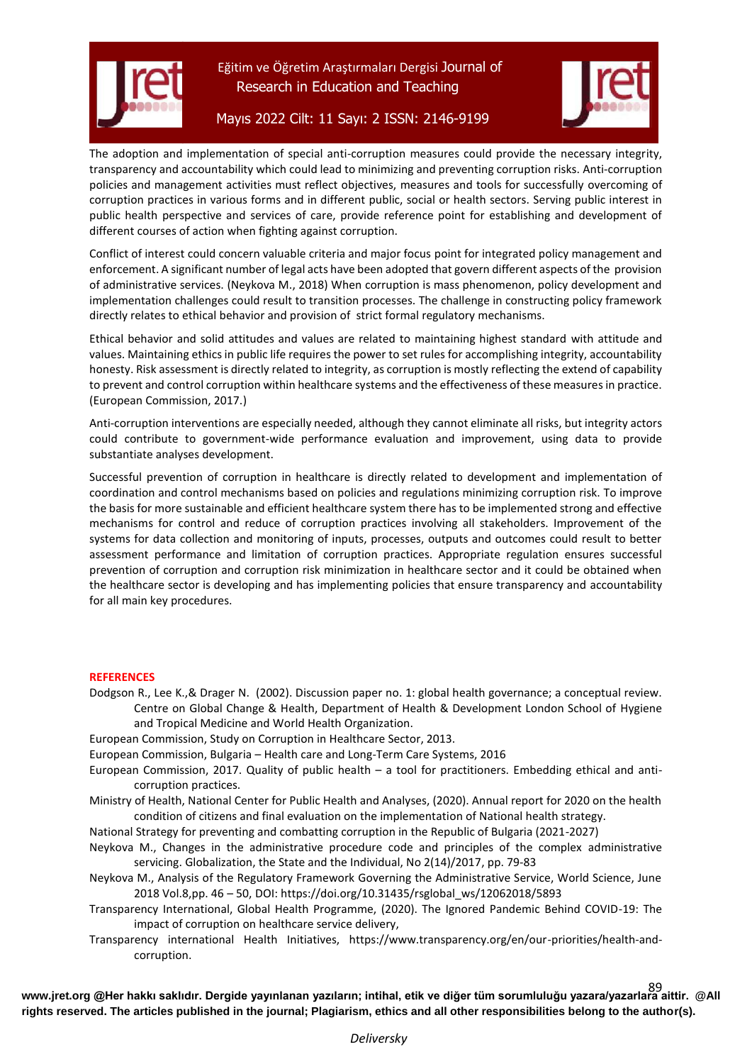

Mayıs 2022 Cilt: 11 Sayı: 2 ISSN: 2146-9199



The adoption and implementation of special anti-corruption measures could provide the necessary integrity, transparency and accountability which could lead to minimizing and preventing corruption risks. Anti-corruption policies and management activities must reflect objectives, measures and tools for successfully overcoming of corruption practices in various forms and in different public, social or health sectors. Serving public interest in public health perspective and services of care, provide reference point for establishing and development of different courses of action when fighting against corruption.

Conflict of interest could concern valuable criteria and major focus point for integrated policy management and enforcement. A significant number of legal acts have been adopted that govern different aspects of the provision of administrative services. (Neykova M., 2018) When corruption is mass phenomenon, policy development and implementation challenges could result to transition processes. The challenge in constructing policy framework directly relates to ethical behavior and provision of strict formal regulatory mechanisms.

Ethical behavior and solid attitudes and values are related to maintaining highest standard with attitude and values. Maintaining ethics in public life requires the power to set rules for accomplishing integrity, accountability honesty. Risk assessment is directly related to integrity, as corruption is mostly reflecting the extend of capability to prevent and control corruption within healthcare systems and the effectiveness of these measures in practice. (European Commission, 2017.)

Anti-corruption interventions are especially needed, although they cannot eliminate all risks, but integrity actors could contribute to government-wide performance evaluation and improvement, using data to provide substantiate analyses development.

Successful prevention of corruption in healthcare is directly related to development and implementation of coordination and control mechanisms based on policies and regulations minimizing corruption risk. To improve the basis for more sustainable and efficient healthcare system there has to be implemented strong and effective mechanisms for control and reduce of corruption practices involving all stakeholders. Improvement of the systems for data collection and monitoring of inputs, processes, outputs and outcomes could result to better assessment performance and limitation of corruption practices. Appropriate regulation ensures successful prevention of corruption and corruption risk minimization in healthcare sector and it could be obtained when the healthcare sector is developing and has implementing policies that ensure transparency and accountability for all main key procedures.

### **REFERENCES**

Dodgson R., Lee K.,& Drager N. (2002). Discussion paper no. 1: global health governance; a conceptual review. Centre on Global Change & Health, Department of Health & Development London School of Hygiene and Tropical Medicine and World Health Organization.

European Commission, Study on Corruption in Healthcare Sector, 2013.

European Commission, Bulgaria – Health care and Long-Term Care Systems, 2016

- European Commission, 2017. Quality of public health a tool for practitioners. Embedding ethical and anticorruption practices.
- Ministry of Health, National Center for Public Health and Analyses, (2020). Annual report for 2020 on the health condition of citizens and final evaluation on the implementation of National health strategy.

National Strategy for preventing and combatting corruption in the Republic of Bulgaria (2021-2027)

Neykova M., Changes in the administrative procedure code and principles of the complex administrative servicing. Globalization, the State and the Individual, No 2(14)/2017, pp. 79-83

Neykova M., Analysis of the Regulatory Framework Governing the Administrative Service, World Science, June 2018 Vol.8,pp. 46 – 50, DOI: https://doi.org/10.31435/rsglobal\_ws/12062018/5893

- Transparency International, Global Health Programme, (2020). The Ignored Pandemic Behind COVID-19: The impact of corruption on healthcare service delivery,
- Transparency international Health Initiatives, https://www.transparency.org/en/our-priorities/health-andcorruption.

**[www.jret.org @](http://www.jret.org/)Her hakkı saklıdır. Dergide yayınlanan yazıların; intihal, etik ve diğer tüm sorumluluğu yazara/yazarlara aittir. @All**  89 **rights reserved. The articles published in the journal; Plagiarism, ethics and all other responsibilities belong to the author(s).**